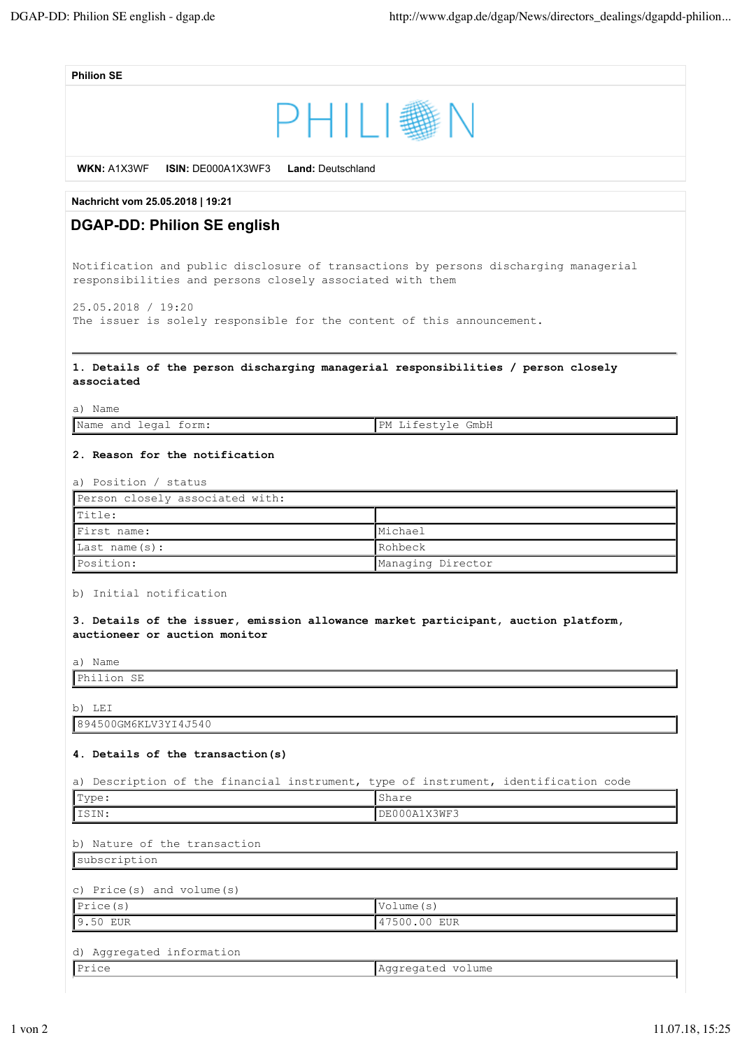| <b>Philion SE</b>                                                                                                                                 |                   |  |
|---------------------------------------------------------------------------------------------------------------------------------------------------|-------------------|--|
| PHILI。<br>WKN: A1X3WF<br><b>ISIN: DE000A1X3WF3</b><br><b>Land: Deutschland</b>                                                                    |                   |  |
|                                                                                                                                                   |                   |  |
| Nachricht vom 25.05.2018   19:21                                                                                                                  |                   |  |
| <b>DGAP-DD: Philion SE english</b>                                                                                                                |                   |  |
| Notification and public disclosure of transactions by persons discharging managerial<br>responsibilities and persons closely associated with them |                   |  |
| 25.05.2018 / 19:20<br>The issuer is solely responsible for the content of this announcement.                                                      |                   |  |
| 1. Details of the person discharging managerial responsibilities / person closely<br>associated                                                   |                   |  |
| a) Name                                                                                                                                           |                   |  |
| Name and legal form:                                                                                                                              | PM Lifestyle GmbH |  |
| 2. Reason for the notification<br>a) Position / status                                                                                            |                   |  |
| Person closely associated with:                                                                                                                   |                   |  |
| Title:                                                                                                                                            |                   |  |
| First name:                                                                                                                                       | Michael           |  |
| Last name $(s)$ :                                                                                                                                 | Rohbeck           |  |
| Position:                                                                                                                                         | Managing Director |  |
| b) Initial notification                                                                                                                           |                   |  |
| 3. Details of the issuer, emission allowance market participant, auction platform,<br>auctioneer or auction monitor                               |                   |  |
| a) Name                                                                                                                                           |                   |  |
| Philion SE                                                                                                                                        |                   |  |
| b) LEI                                                                                                                                            |                   |  |
| 894500GM6KLV3YI4J540                                                                                                                              |                   |  |
| 4. Details of the transaction(s)                                                                                                                  |                   |  |
| a) Description of the financial instrument, type of instrument, identification code                                                               |                   |  |
| Type:                                                                                                                                             | Share             |  |
| ISIN:                                                                                                                                             | DE000A1X3WF3      |  |
|                                                                                                                                                   |                   |  |
| b) Nature of the transaction                                                                                                                      |                   |  |
| subscription                                                                                                                                      |                   |  |
|                                                                                                                                                   |                   |  |
| c) Price(s) and volume(s)<br>Price(s)                                                                                                             | Volume (s)        |  |
| 9.50 EUR                                                                                                                                          | 47500.00 EUR      |  |
|                                                                                                                                                   |                   |  |
| d) Aggregated information                                                                                                                         |                   |  |
| Price                                                                                                                                             | Aggregated volume |  |
|                                                                                                                                                   |                   |  |